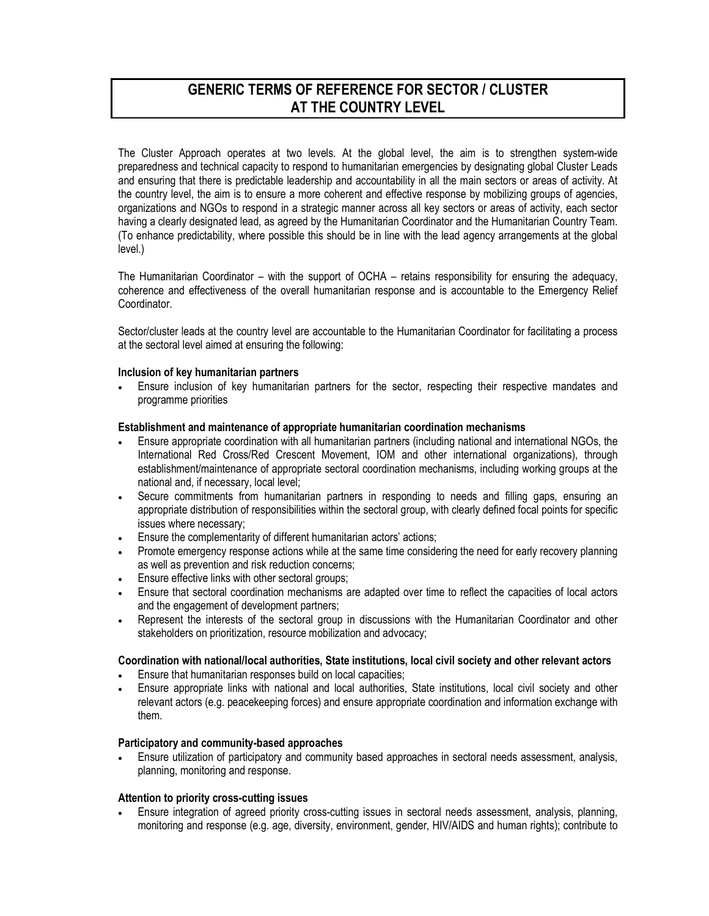# GENERIC TERMS OF REFERENCE FOR SECTOR / CLUSTER AT THE COUNTRY LEVEL

The Cluster Approach operates at two levels. At the global level, the aim is to strengthen system-wide preparedness and technical capacity to respond to humanitarian emergencies by designating global Cluster Leads and ensuring that there is predictable leadership and accountability in all the main sectors or areas of activity. At the country level, the aim is to ensure a more coherent and effective response by mobilizing groups of agencies, organizations and NGOs to respond in a strategic manner across all key sectors or areas of activity, each sector having a clearly designated lead, as agreed by the Humanitarian Coordinator and the Humanitarian Country Team. (To enhance predictability, where possible this should be in line with the lead agency arrangements at the global level.)

The Humanitarian Coordinator – with the support of OCHA – retains responsibility for ensuring the adequacy, coherence and effectiveness of the overall humanitarian response and is accountable to the Emergency Relief Coordinator.

Sector/cluster leads at the country level are accountable to the Humanitarian Coordinator for facilitating a process at the sectoral level aimed at ensuring the following:

## Inclusion of key humanitarian partners

• Ensure inclusion of key humanitarian partners for the sector, respecting their respective mandates and programme priorities

#### Establishment and maintenance of appropriate humanitarian coordination mechanisms

- Ensure appropriate coordination with all humanitarian partners (including national and international NGOs, the International Red Cross/Red Crescent Movement, IOM and other international organizations), through establishment/maintenance of appropriate sectoral coordination mechanisms, including working groups at the national and, if necessary, local level;
- Secure commitments from humanitarian partners in responding to needs and filling gaps, ensuring an appropriate distribution of responsibilities within the sectoral group, with clearly defined focal points for specific issues where necessary;
- Ensure the complementarity of different humanitarian actors' actions;
- Promote emergency response actions while at the same time considering the need for early recovery planning as well as prevention and risk reduction concerns;
- Ensure effective links with other sectoral groups;
- Ensure that sectoral coordination mechanisms are adapted over time to reflect the capacities of local actors and the engagement of development partners;
- Represent the interests of the sectoral group in discussions with the Humanitarian Coordinator and other stakeholders on prioritization, resource mobilization and advocacy;

## Coordination with national/local authorities, State institutions, local civil society and other relevant actors

- Ensure that humanitarian responses build on local capacities;
- Ensure appropriate links with national and local authorities, State institutions, local civil society and other relevant actors (e.g. peacekeeping forces) and ensure appropriate coordination and information exchange with them.

## Participatory and community-based approaches

• Ensure utilization of participatory and community based approaches in sectoral needs assessment, analysis, planning, monitoring and response.

### Attention to priority cross-cutting issues

• Ensure integration of agreed priority cross-cutting issues in sectoral needs assessment, analysis, planning, monitoring and response (e.g. age, diversity, environment, gender, HIV/AIDS and human rights); contribute to